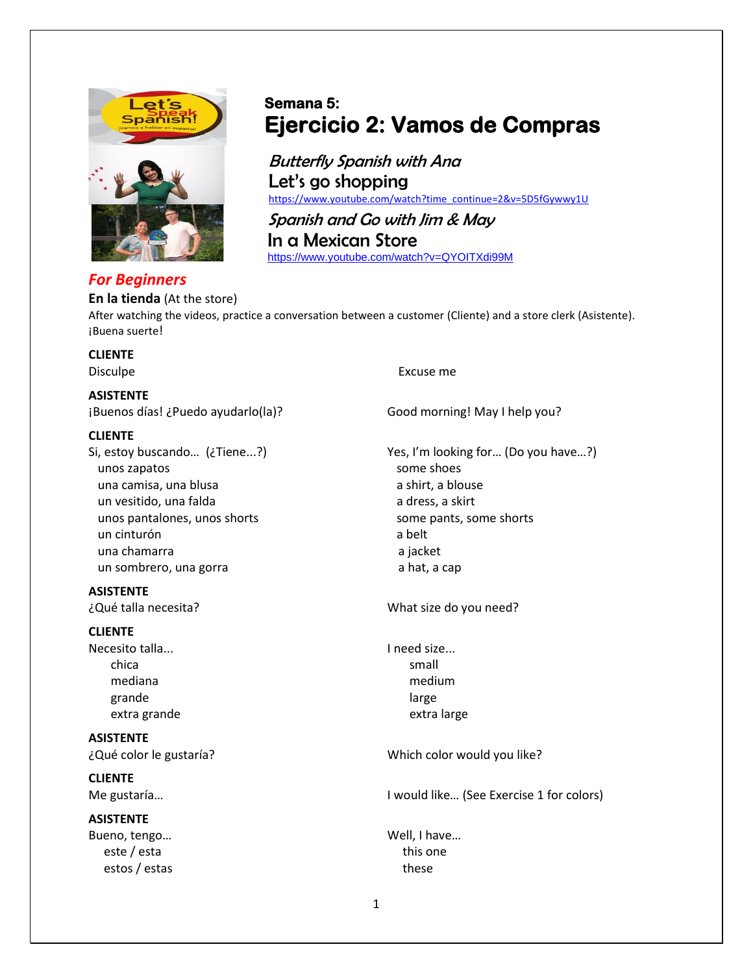

## *For Beginners*

## **Semana 5: Ejercicio 2: Vamos de Compras**

Butterfly Spanish with Ana Let's go shopping [https://www.youtube.com/watch?time\\_continue=2&v=5D5fGywwy1U](https://www.youtube.com/watch?time_continue=2&v=5D5fGywwy1U)

Spanish and Go with Jim & May In a Mexican Store <https://www.youtube.com/watch?v=QYOITXdi99M>

**En la tienda** (At the store) After watching the videos, practice a conversation between a customer (Cliente) and a store clerk (Asistente). ¡Buena suerte!

# **CLIENTE**

#### **ASISTENTE**

¡Buenos días! ¿Puedo ayudarlo(la)? Good morning! May I help you?

#### **CLIENTE**

unos zapatos some shoes una camisa, una blusa a shirt, a blouse un vesitido, una falda a dress, a skirt unos pantalones, unos shorts some pants, some shorts un cinturón a belt una chamarra a jacket un sombrero, una gorra a materiale e a hat, a cap

**ASISTENTE**

#### **CLIENTE**

Necesito talla... The intervalse in the line of the line of size... chica small and the contract of the contract of the small mediana medium grande large large large and the large large large large large

**ASISTENTE**

**CLIENTE**

# **ASISTENTE**

este / esta estos / estas these

#### Disculpe **Excuse me**

Si, estoy buscando… (¿Tiene...?) Yes, I'm looking for… (Do you have…?)

¿Qué talla necesita? What size do you need?

extra grande extra large

¿Qué color le gustaría? Which color would you like?

Me gustaría… I would like… (See Exercise 1 for colors)

Bueno, tengo... by the contract of the contract well, I have...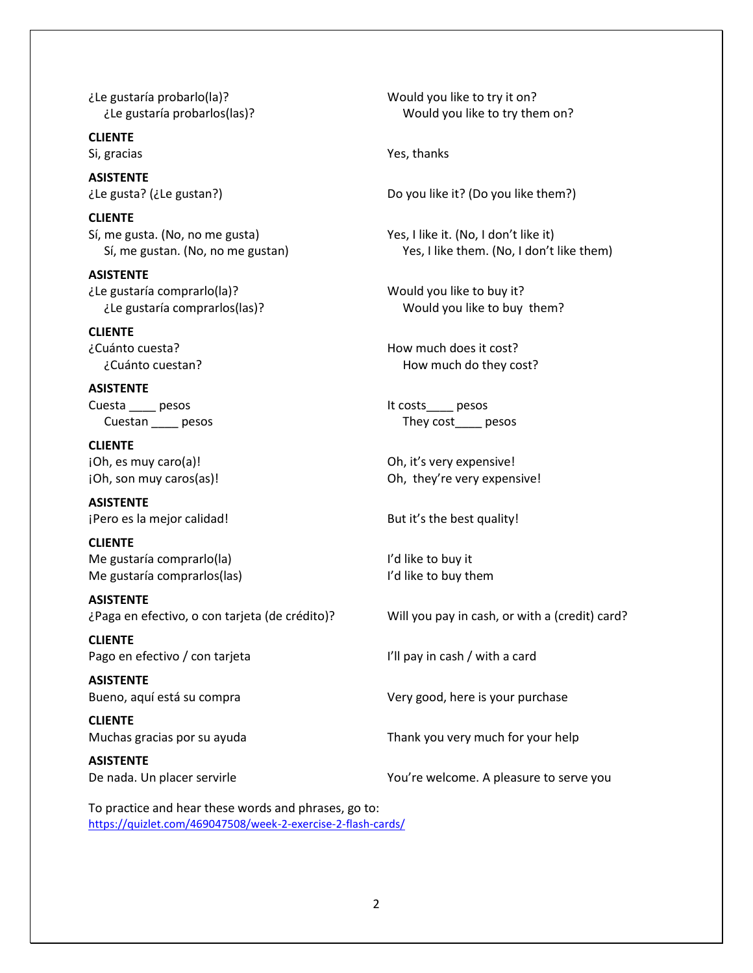¿Le gustaría probarlo(la)? Would you like to try it on?

**CLIENTE**

**ASISTENTE**

**CLIENTE**

**ASISTENTE** ¿Le gustaría comprarlo(la)? Would you like to buy it?

**CLIENTE**

**ASISTENTE** Cuesta pesos and the pesos it costs pesos being pesos and the costs of the pesos it costs and pesos

**CLIENTE** ¡Oh, es muy caro(a)! Oh, it's very expensive!

**ASISTENTE** jPero es la mejor calidad! But it's the best quality!

**CLIENTE** Me gustaría comprarlo(la) I'd like to buy it Me gustaría comprarlos(las) Me gustaría comprarlos(las)

**ASISTENTE**

**CLIENTE** Pago en efectivo / con tarjeta International Marian I'll pay in cash / with a card

**ASISTENTE**

**CLIENTE**

**ASISTENTE**

¿Le gustaría probarlos(las)? Would you like to try them on?

Si, gracias The Communication of the Ves, thanks

¿Le gusta? (¿Le gustan?) Do you like it? (Do you like them?)

Sí, me gusta. (No, no me gusta) Yes, I like it. (No, I don't like it) Sí, me gustan. (No, no me gustan) Yes, I like them. (No, I don't like them)

¿Le gustaría comprarlos(las)? Would you like to buy them?

¿Cuánto cuesta? How much does it cost? ¿Cuánto cuestan? How much do they cost?

Cuestan \_\_\_\_\_ pesos They cost\_\_\_\_ pesos

¡Oh, son muy caros(as)! Oh, they're very expensive!

¿Paga en efectivo, o con tarjeta (de crédito)? Will you pay in cash, or with a (credit) card?

Bueno, aquí está su compra Very good, here is your purchase

Muchas gracias por su ayuda Thank you very much for your help

De nada. Un placer servirle Vou're welcome. A pleasure to serve you

To practice and hear these words and phrases, go to: <https://quizlet.com/469047508/week-2-exercise-2-flash-cards/>